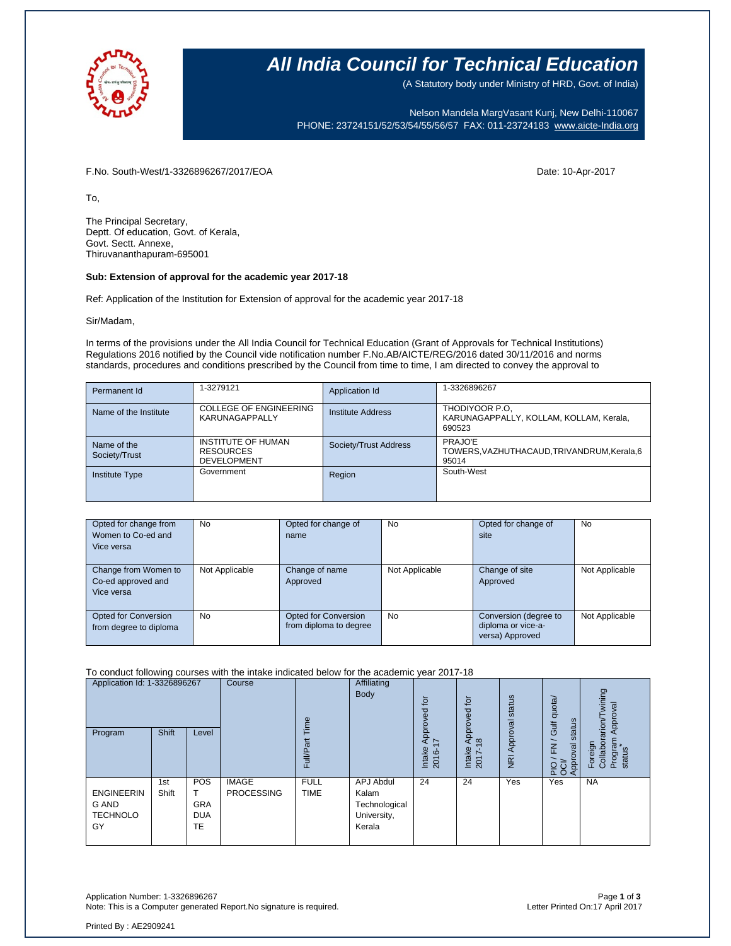

### **All India Council for Technical Education**

(A Statutory body under Ministry of HRD, Govt. of India)

Nelson Mandela MargVasant Kunj, New Delhi-110067 PHONE: 23724151/52/53/54/55/56/57 FAX: 011-23724183 [www.aicte-India.org](http://www.aicte-india.org/)

F.No. South-West/1-3326896267/2017/EOA Date: 10-Apr-2017

To,

The Principal Secretary, Deptt. Of education, Govt. of Kerala, Govt. Sectt. Annexe, Thiruvananthapuram-695001

#### **Sub: Extension of approval for the academic year 2017-18**

Ref: Application of the Institution for Extension of approval for the academic year 2017-18

Sir/Madam,

In terms of the provisions under the All India Council for Technical Education (Grant of Approvals for Technical Institutions) Regulations 2016 notified by the Council vide notification number F.No.AB/AICTE/REG/2016 dated 30/11/2016 and norms standards, procedures and conditions prescribed by the Council from time to time, I am directed to convey the approval to

| Permanent Id                 | 1-3279121                                                           | Application Id        | 1-3326896267                                                        |
|------------------------------|---------------------------------------------------------------------|-----------------------|---------------------------------------------------------------------|
| Name of the Institute        | <b>COLLEGE OF ENGINEERING</b><br>KARUNAGAPPALLY                     | Institute Address     | THODIYOOR P.O.<br>KARUNAGAPPALLY, KOLLAM, KOLLAM, Kerala,<br>690523 |
| Name of the<br>Society/Trust | <b>INSTITUTE OF HUMAN</b><br><b>RESOURCES</b><br><b>DEVELOPMENT</b> | Society/Trust Address | PRAJO'E<br>TOWERS, VAZHUTHACAUD, TRIVANDRUM, Kerala, 6<br>95014     |
| <b>Institute Type</b>        | Government                                                          | Region                | South-West                                                          |

| Opted for change from<br>Women to Co-ed and<br>Vice versa | No             | Opted for change of<br>name                           | <b>No</b>      | Opted for change of<br>site                                    | <b>No</b>      |
|-----------------------------------------------------------|----------------|-------------------------------------------------------|----------------|----------------------------------------------------------------|----------------|
| Change from Women to<br>Co-ed approved and<br>Vice versa  | Not Applicable | Change of name<br>Approved                            | Not Applicable | Change of site<br>Approved                                     | Not Applicable |
| Opted for Conversion<br>from degree to diploma            | No             | <b>Opted for Conversion</b><br>from diploma to degree | <b>No</b>      | Conversion (degree to<br>diploma or vice-a-<br>versa) Approved | Not Applicable |

#### To conduct following courses with the intake indicated below for the academic year 2017-18

| Application Id: 1-3326896267<br>Program             | <b>Shift</b> | Level                                        | Course                            | emi.<br>Full/Par           | Affiliating<br>Body                                          | tor<br>್ಥಾ<br>Approve<br>$\overline{\phantom{0}}$<br>Intake<br>Ó<br>201 | tor<br>roved<br>ā<br>$\infty$<br>Intake<br>2017- | status<br>Approval<br>$\overline{R}$ | Gulf quota/<br>status<br>$\geq$<br>Approval<br>운영 | wining<br>Approval<br>rarion/<br>Program<br>Foreign<br>Collabor<br>status |
|-----------------------------------------------------|--------------|----------------------------------------------|-----------------------------------|----------------------------|--------------------------------------------------------------|-------------------------------------------------------------------------|--------------------------------------------------|--------------------------------------|---------------------------------------------------|---------------------------------------------------------------------------|
| <b>ENGINEERIN</b><br>G AND<br><b>TECHNOLO</b><br>GY | 1st<br>Shift | POS<br><b>GRA</b><br><b>DUA</b><br><b>TE</b> | <b>IMAGE</b><br><b>PROCESSING</b> | <b>FULL</b><br><b>TIME</b> | APJ Abdul<br>Kalam<br>Technological<br>University,<br>Kerala | 24                                                                      | 24                                               | Yes                                  | Yes                                               | <b>NA</b>                                                                 |

Printed By : AE2909241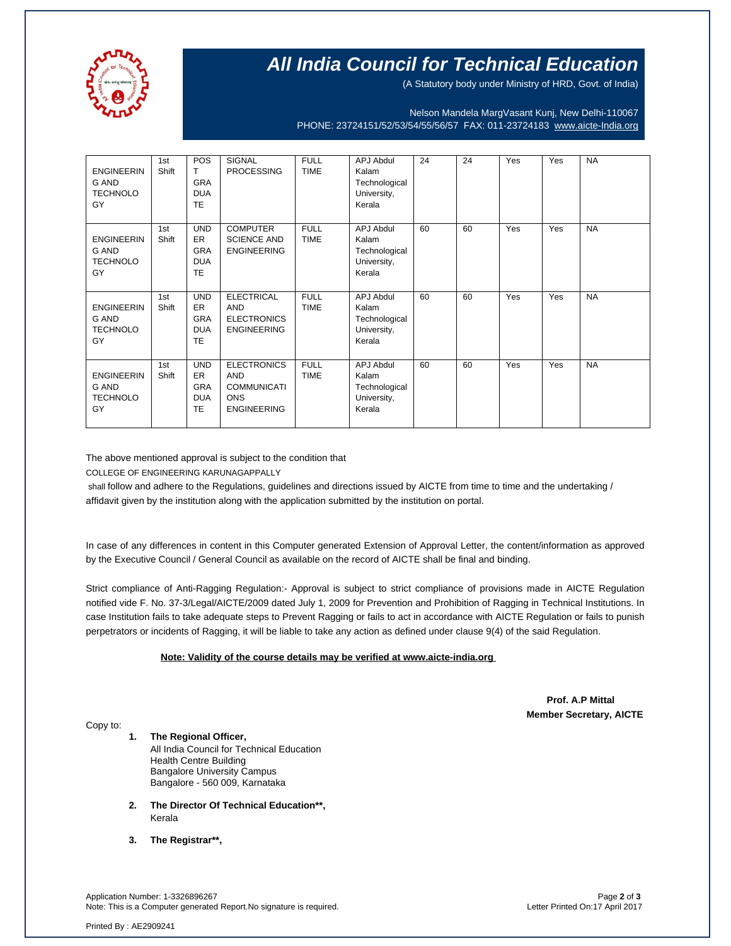

# **All India Council for Technical Education**

(A Statutory body under Ministry of HRD, Govt. of India)

Nelson Mandela MargVasant Kunj, New Delhi-110067 PHONE: 23724151/52/53/54/55/56/57 FAX: 011-23724183 [www.aicte-India.org](http://www.aicte-india.org/)

| <b>ENGINEERIN</b><br>G AND<br><b>TECHNOLO</b><br>GY | 1st<br>Shift | POS<br>т<br><b>GRA</b><br><b>DUA</b><br><b>TE</b>                | <b>SIGNAL</b><br><b>PROCESSING</b>                                                         | <b>FULL</b><br><b>TIME</b> | <b>APJ Abdul</b><br>Kalam<br>Technological<br>University,<br>Kerala | 24 | 24 | Yes | Yes | <b>NA</b> |
|-----------------------------------------------------|--------------|------------------------------------------------------------------|--------------------------------------------------------------------------------------------|----------------------------|---------------------------------------------------------------------|----|----|-----|-----|-----------|
| <b>ENGINEERIN</b><br>G AND<br><b>TECHNOLO</b><br>GY | 1st<br>Shift | <b>UND</b><br><b>ER</b><br><b>GRA</b><br><b>DUA</b><br><b>TE</b> | <b>COMPUTER</b><br><b>SCIENCE AND</b><br><b>ENGINEERING</b>                                | <b>FULL</b><br><b>TIME</b> | <b>APJ Abdul</b><br>Kalam<br>Technological<br>University,<br>Kerala | 60 | 60 | Yes | Yes | <b>NA</b> |
| <b>ENGINEERIN</b><br>G AND<br><b>TECHNOLO</b><br>GY | 1st<br>Shift | <b>UND</b><br><b>ER</b><br><b>GRA</b><br><b>DUA</b><br><b>TE</b> | <b>ELECTRICAL</b><br><b>AND</b><br><b>ELECTRONICS</b><br><b>ENGINEERING</b>                | <b>FULL</b><br><b>TIME</b> | <b>APJ Abdul</b><br>Kalam<br>Technological<br>University,<br>Kerala | 60 | 60 | Yes | Yes | <b>NA</b> |
| <b>ENGINEERIN</b><br>G AND<br><b>TECHNOLO</b><br>GY | 1st<br>Shift | <b>UND</b><br>ER.<br><b>GRA</b><br><b>DUA</b><br>TE              | <b>ELECTRONICS</b><br><b>AND</b><br><b>COMMUNICATI</b><br><b>ONS</b><br><b>ENGINEERING</b> | <b>FULL</b><br><b>TIME</b> | <b>APJ Abdul</b><br>Kalam<br>Technological<br>University,<br>Kerala | 60 | 60 | Yes | Yes | <b>NA</b> |

The above mentioned approval is subject to the condition that

COLLEGE OF ENGINEERING KARUNAGAPPALLY

shall follow and adhere to the Regulations, guidelines and directions issued by AICTE from time to time and the undertaking / affidavit given by the institution along with the application submitted by the institution on portal.

In case of any differences in content in this Computer generated Extension of Approval Letter, the content/information as approved by the Executive Council / General Council as available on the record of AICTE shall be final and binding.

Strict compliance of Anti-Ragging Regulation:- Approval is subject to strict compliance of provisions made in AICTE Regulation notified vide F. No. 37-3/Legal/AICTE/2009 dated July 1, 2009 for Prevention and Prohibition of Ragging in Technical Institutions. In case Institution fails to take adequate steps to Prevent Ragging or fails to act in accordance with AICTE Regulation or fails to punish perpetrators or incidents of Ragging, it will be liable to take any action as defined under clause 9(4) of the said Regulation.

### **Note: Validity of the course details may be verified at www.aicte-india.org**

 **Prof. A.P Mittal Member Secretary, AICTE**

Copy to:

**1. The Regional Officer,** All India Council for Technical Education

Health Centre Building Bangalore University Campus Bangalore - 560 009, Karnataka

- **2. The Director Of Technical Education\*\*,** Kerala
- **3. The Registrar\*\*,**

Application Number: 1-3326896267 Page **2** of **3** Note: This is a Computer generated Report.No signature is required.